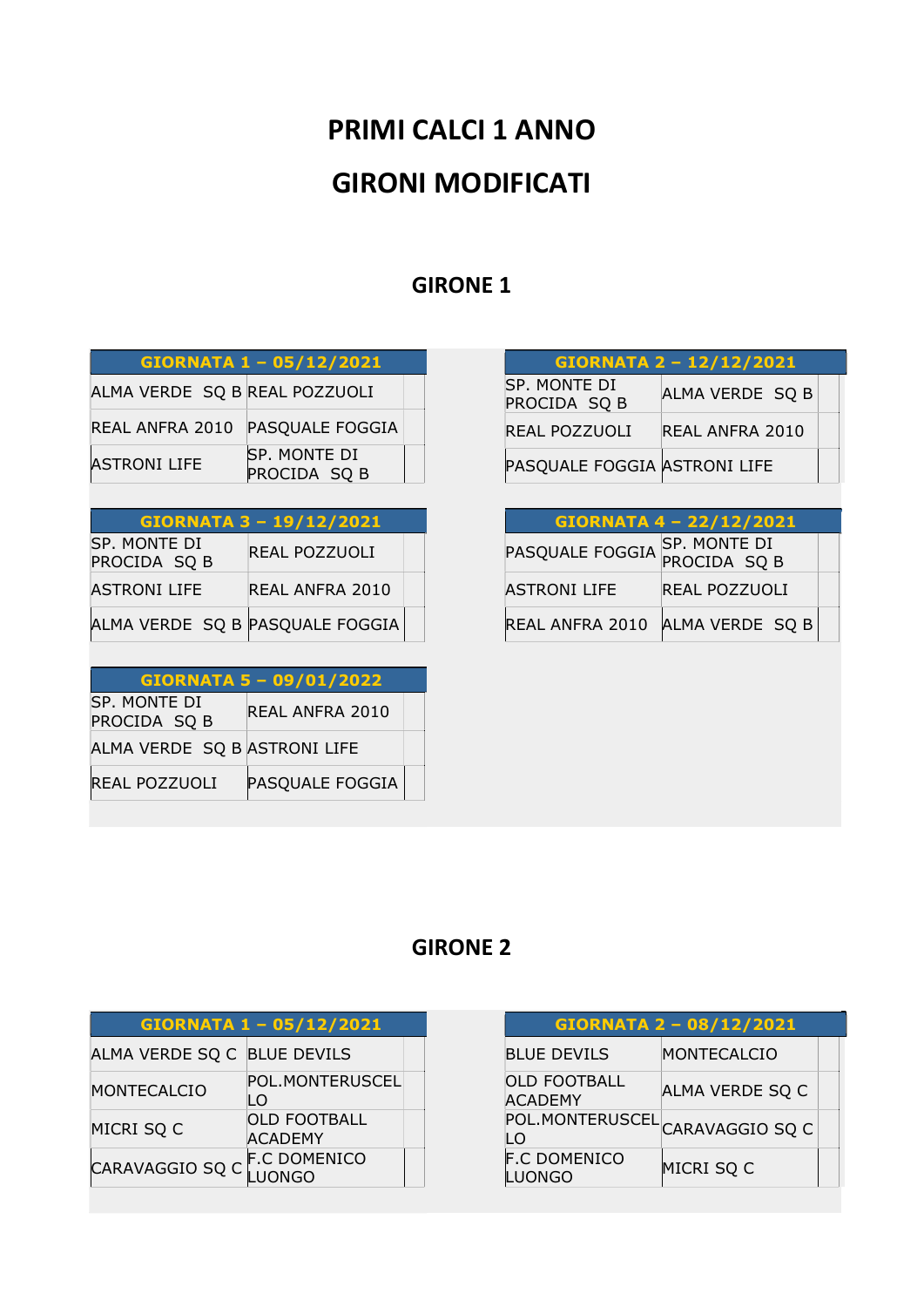# PRIMI CALCI 1 ANNO GIRONI MODIFICATI

## GIRONE 1

|                               | GIORNATA 1 - 05/12/2021      |
|-------------------------------|------------------------------|
| ALMA VERDE SQ B REAL POZZUOLI |                              |
| REAL ANFRA 2010               | <b>PASQUALE FOGGIA</b>       |
| <b>ASTRONI LIFE</b>           | SP. MONTE DI<br>PROCIDA SQ B |

#### GIORNATA 3 – 19/12/2021

| SP. MONTE DI<br>PROCIDA SQ B | REAL POZZUOLI                   |  |
|------------------------------|---------------------------------|--|
| <b>ASTRONI LIFE</b>          | REAL ANFRA 2010                 |  |
|                              | ALMA VERDE SQ B PASQUALE FOGGIA |  |

| GIORNATA 5 - 09/01/2022      |                 |  |
|------------------------------|-----------------|--|
| SP. MONTE DI<br>PROCIDA SQ B | REAL ANFRA 2010 |  |
| ALMA VERDE SQ B ASTRONI LIFE |                 |  |
| <b>REAL POZZUOLI</b>         | PASQUALE FOGGIA |  |

| <b>GIORNATA 2 - 12/12/2021</b> |                        |  |
|--------------------------------|------------------------|--|
| SP. MONTE DI<br>PROCIDA SQ B   | ALMA VERDE SQ B        |  |
| REAL POZZUOLI                  | <b>REAL ANFRA 2010</b> |  |
| PASQUALE FOGGIA ASTRONI LIFE   |                        |  |

| <b>GIORNATA 4 - 22/12/2021</b> |                              |  |
|--------------------------------|------------------------------|--|
| PASQUALE FOGGIA                | SP. MONTE DI<br>PROCIDA SQ B |  |
| <b>ASTRONI LIFE</b>            | <b>REAL POZZUOLI</b>         |  |
| REAL ANFRA 2010                | ALMA VERDE SQ B              |  |

## GIRONE 2

| GIORNATA 1 - 05/12/2021     |                                       |
|-----------------------------|---------------------------------------|
| ALMA VERDE SQ C BLUE DEVILS |                                       |
| <b>MONTECALCIO</b>          | POL.MONTERUSCEL<br>I O                |
| MICRI SQ C                  | <b>OLD FOOTBALL</b><br><b>ACADEMY</b> |
| CARAVAGGIO SQ C             | <b>F.C DOMENICO</b><br><b>NGO</b>     |

| GIORNATA 2 - 08/12/2021               |                 |  |
|---------------------------------------|-----------------|--|
| <b>BLUE DEVILS</b>                    | MONTECALCIO     |  |
| <b>OLD FOOTBALL</b><br><b>ACADEMY</b> | ALMA VERDE SQ C |  |
| POL.MONTERUSCEL CARAVAGGIO SQ C<br>LO |                 |  |
| <b>F.C DOMENICO</b><br><b>UONGO</b>   | MICRI SQ C      |  |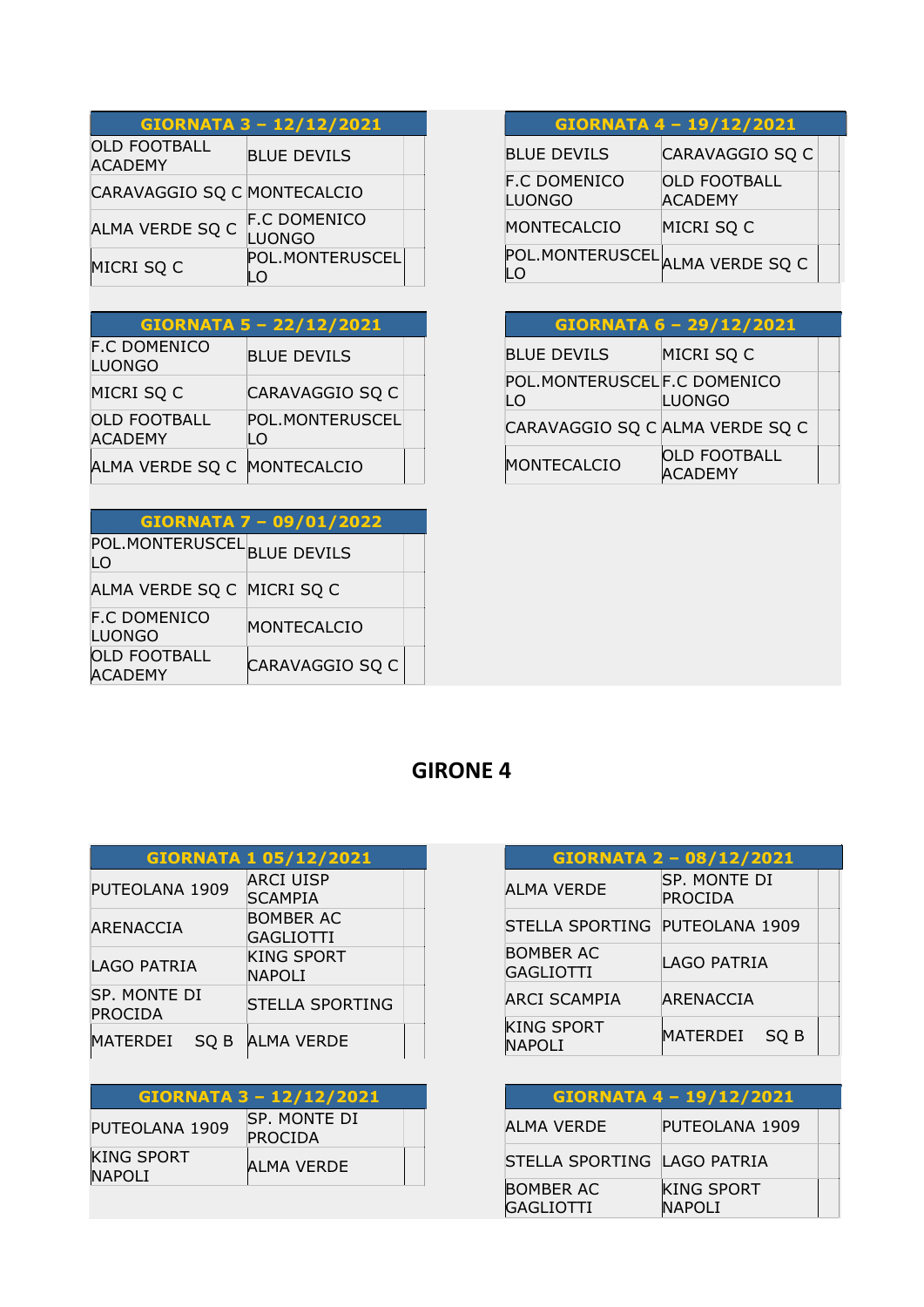| GIORNATA 3 - 12/12/2021               |                                      |
|---------------------------------------|--------------------------------------|
| <b>OLD FOOTBALL</b><br><b>ACADEMY</b> | <b>BLUE DEVILS</b>                   |
| CARAVAGGIO SQ C MONTECALCIO           |                                      |
| ALMA VERDE SQ C                       | <b>F.C DOMENICO</b><br><b>LUONGO</b> |
| MICRI SQ C                            | POL.MONTERUSCEL                      |

| GIORNATA 5 - 22/12/2021               |                       |  |
|---------------------------------------|-----------------------|--|
| <b>F.C DOMENICO</b><br><b>LUONGO</b>  | <b>BLUE DEVILS</b>    |  |
| MICRI SQ C                            | CARAVAGGIO SQ C       |  |
| <b>OLD FOOTBALL</b><br><b>ACADEMY</b> | POL.MONTERUSCEL<br>LO |  |
| ALMA VERDE SQ C                       | MONTECALCIO           |  |

| GIORNATA 7 - 09/01/2022              |                 |  |
|--------------------------------------|-----------------|--|
| POL.MONTERUSCEL BLUE DEVILS<br>I O   |                 |  |
| ALMA VERDE SQ C MICRI SQ C           |                 |  |
| <b>F.C DOMENICO</b><br><b>LUONGO</b> | MONTECALCIO     |  |
| <b>OLD FOOTBALL</b><br><b>CADEMY</b> | CARAVAGGIO SQ C |  |

#### GIORNATA 4 – 19/12/2021 BLUE DEVILS CARAVAGGIO SQ C F.C DOMENICO LUONGO OLD FOOTBALL ACADEMY MONTECALCIO MICRI SQ C POL.MONTERUSCEL<br>LO

| GIORNATA 6 - 29/12/2021           |                                       |  |
|-----------------------------------|---------------------------------------|--|
| <b>BLUE DEVILS</b>                | MICRI SQ C                            |  |
| POL.MONTERUSCELF.C DOMENICO<br>LO | <b>LUONGO</b>                         |  |
| CARAVAGGIO SQ C ALMA VERDE SQ C   |                                       |  |
| MONTECALCIO                       | <b>OLD FOOTBALL</b><br><b>ACADEMY</b> |  |

## GIRONE 4

|                         | <b>GIORNATA 1 05/12/2021</b>       |
|-------------------------|------------------------------------|
| PUTEOLANA 1909          | <b>ARCI UISP</b><br><b>SCAMPIA</b> |
| ARENACCIA               | <b>BOMBER AC</b><br>GAGLIOTTI      |
| LAGO PATRIA             | <b>KING SPORT</b><br>NAPOLI        |
| SP. MONTE DI<br>PROCIDA | <b>STELLA SPORTING</b>             |
| MATERDEI<br>SO B        | <b>ALMA VERDE</b>                  |

#### GIORNATA 3 – 12/12/2021

| PUTEOLANA 1909                     | <b>SP. MONTE DI</b><br>PROCIDA |  |
|------------------------------------|--------------------------------|--|
| <b>KING SPORT</b><br><b>NAPOLI</b> | ALMA VERDE                     |  |

| <b>GIORNATA 2 - 08/12/2021</b>     |                         |  |
|------------------------------------|-------------------------|--|
| ALMA VERDE                         | SP. MONTE DI<br>PROCIDA |  |
| STELLA SPORTING PUTEOLANA 1909     |                         |  |
| <b>BOMBER AC</b><br>GAGLIOTTI      | LAGO PATRIA             |  |
| ARCI SCAMPIA                       | ARENACCIA               |  |
| <b>KING SPORT</b><br><b>NAPOLI</b> | MATERDEI<br>SO B        |  |

| GIORNATA 4 - 19/12/2021              |                                    |  |
|--------------------------------------|------------------------------------|--|
| ALMA VERDE                           | PUTEOLANA 1909                     |  |
| STELLA SPORTING LAGO PATRIA          |                                    |  |
| <b>BOMBER AC</b><br><b>GAGLIOTTI</b> | <b>KING SPORT</b><br><b>NAPOLI</b> |  |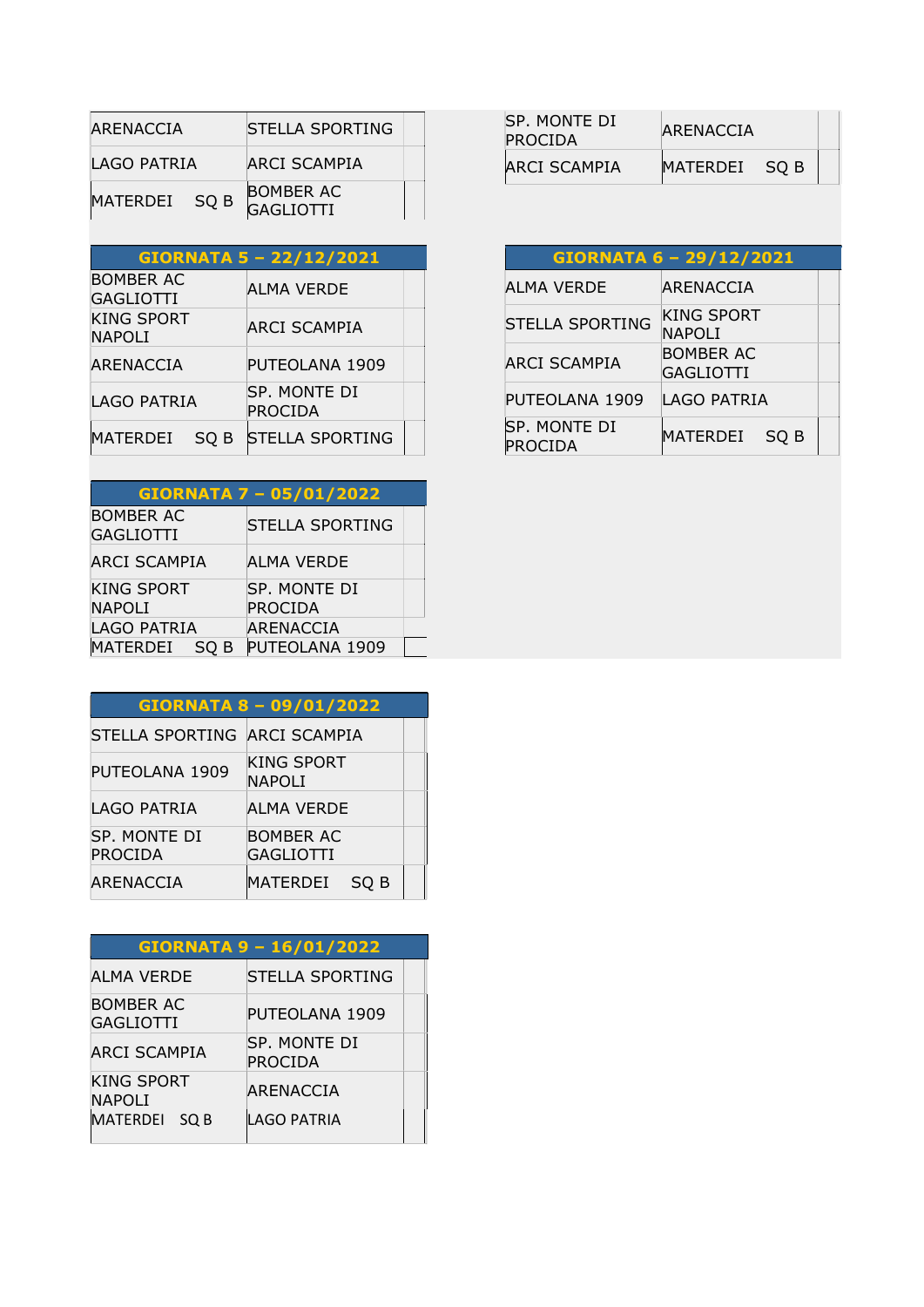| ARENACCIA     | STELLA SPORTING                      |  |
|---------------|--------------------------------------|--|
| LAGO PATRIA   | ARCI SCAMPIA                         |  |
| MATERDEI SO B | <b>BOMBER AC</b><br><b>GAGLIOTTI</b> |  |

| GIORNATA 5 - 22/12/2021            |      |                         |  |
|------------------------------------|------|-------------------------|--|
| <b>BOMBER AC</b><br>GAGLIOTTI      |      | ALMA VERDE              |  |
| <b>KING SPORT</b><br><b>NAPOLI</b> |      | ARCI SCAMPIA            |  |
| ARENACCIA                          |      | PUTEOLANA 1909          |  |
| LAGO PATRIA                        |      | SP. MONTE DI<br>PROCIDA |  |
| MATERDEI                           | SQ B | <b>STELLA SPORTING</b>  |  |
|                                    |      |                         |  |

| <b>GIORNATA 7 - 05/01/2022</b>       |                        |  |
|--------------------------------------|------------------------|--|
| <b>BOMBER AC</b><br><b>GAGLIOTTI</b> | <b>STELLA SPORTING</b> |  |
| <b>ARCI SCAMPIA</b>                  | ALMA VERDE             |  |
| <b>KING SPORT</b>                    | SP. MONTE DI           |  |
| <b>NAPOLI</b>                        | <b>PROCIDA</b>         |  |
| <b>LAGO PATRIA</b>                   | <b>ARENACCIA</b>       |  |
| MATERDEI SQ B                        | PUTEOLANA 1909         |  |

| GIORNATA 8 - 09/01/2022        |                                    |  |
|--------------------------------|------------------------------------|--|
| STELLA SPORTING ARCI SCAMPIA   |                                    |  |
| PUTEOLANA 1909                 | <b>KING SPORT</b><br><b>NAPOLI</b> |  |
| LAGO PATRIA                    | ALMA VERDE                         |  |
| SP. MONTE DI<br><b>PROCIDA</b> | <b>BOMBER AC</b><br>GAGLIOTTI      |  |
| ARENACCIA                      | MATERDEI<br>SO <sub>B</sub>        |  |

| GIORNATA 9 - 16/01/2022            |                                |  |
|------------------------------------|--------------------------------|--|
| <b>ALMA VERDE</b>                  | <b>STELLA SPORTING</b>         |  |
| <b>BOMBER AC</b><br>GAGLIOTTI      | PUTEOLANA 1909                 |  |
| <b>ARCI SCAMPIA</b>                | SP. MONTE DI<br><b>PROCIDA</b> |  |
| <b>KING SPORT</b><br><b>NAPOLI</b> | ARENACCIA                      |  |
| MATERDEI SQ B                      | LAGO PATRIA                    |  |

| ISP. MONTE DI<br><b>PROCIDA</b> | ARENACCIA     |  |
|---------------------------------|---------------|--|
| ARCI SCAMPIA                    | MATERDEI SO B |  |

| GIORNATA 6 - 29/12/2021        |                                    |  |  |
|--------------------------------|------------------------------------|--|--|
| ALMA VERDE                     | ARENACCIA                          |  |  |
| <b>STELLA SPORTING</b>         | <b>KING SPORT</b><br><b>NAPOLI</b> |  |  |
| <b>ARCI SCAMPIA</b>            | <b>BOMBER AC</b><br>GAGLIOTTI      |  |  |
| PUTEOLANA 1909                 | LAGO PATRIA                        |  |  |
| <b>SP. MONTE DI</b><br>PROCIDA | MATERDEI<br>SO B                   |  |  |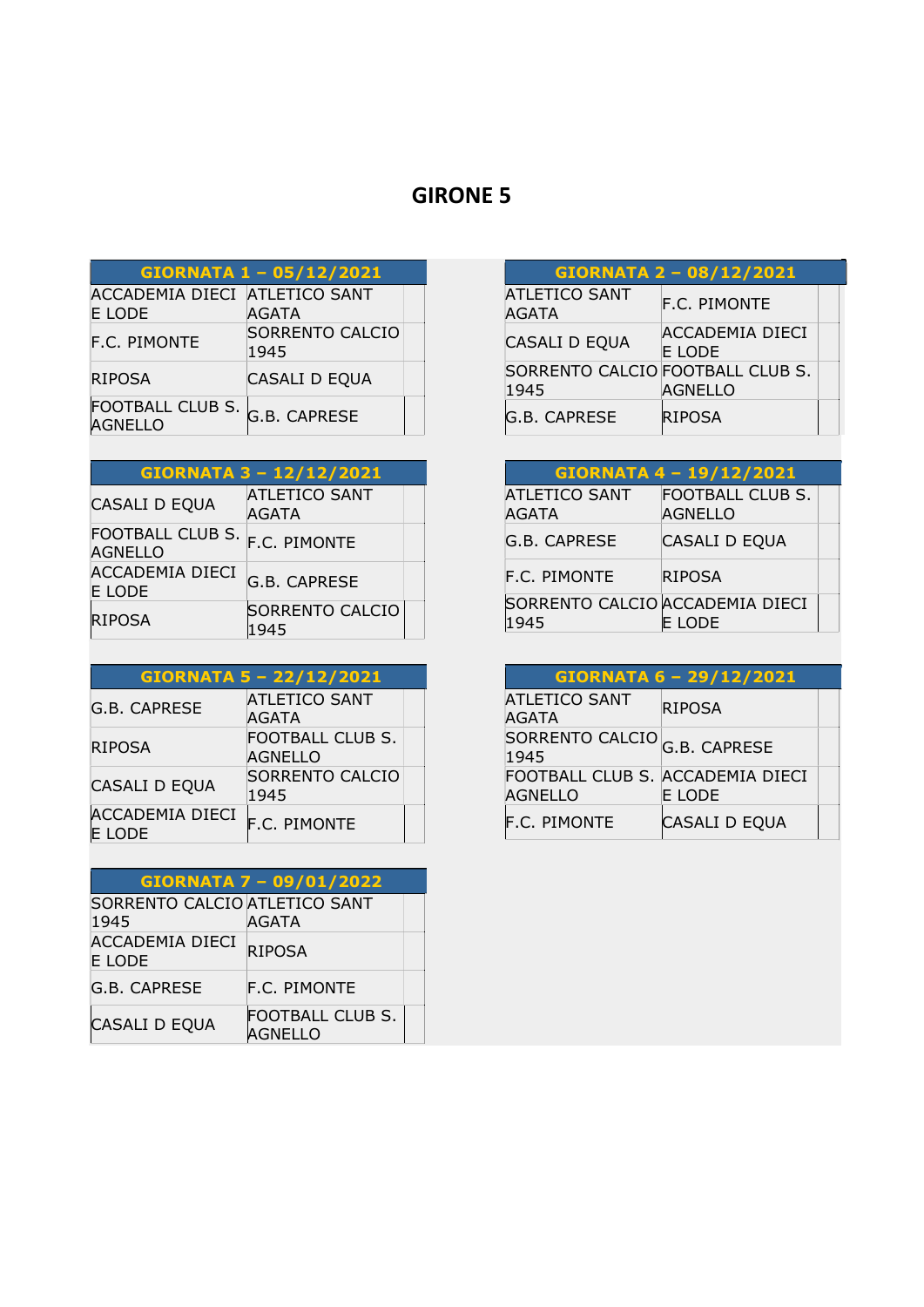## GIRONE 5

| GIORNATA 1 - 05/12/2021                 |                                |  |
|-----------------------------------------|--------------------------------|--|
| ACCADEMIA DIECI ATLETICO SANT<br>E LODE | <b>AGATA</b>                   |  |
| F.C. PIMONTE                            | <b>SORRENTO CALCIO</b><br>1945 |  |
| <b>RIPOSA</b>                           | CASALI D EQUA                  |  |
| FOOTBALL CLUB S.<br>AGNELLO             | G.B. CAPRESE                   |  |

| GIORNATA 3 - 12/12/2021            |                                      |  |
|------------------------------------|--------------------------------------|--|
| CASALI D EQUA                      | <b>ATLETICO SANT</b><br><b>AGATA</b> |  |
| FOOTBALL CLUB S.<br><b>AGNELLO</b> | <b>F.C. PIMONTE</b>                  |  |
| ACCADEMIA DIECI<br>E LODE          | <b>G.B. CAPRESE</b>                  |  |
| RIPOSA                             | <b>SORRENTO CALCIO</b><br>1945       |  |

| GIORNATA 5 - 22/12/2021          |                                           |  |
|----------------------------------|-------------------------------------------|--|
| G.B. CAPRESE                     | <b>ATLETICO SANT</b><br><b>AGATA</b>      |  |
| <b>RIPOSA</b>                    | <b>FOOTBALL CLUB S.</b><br><b>AGNELLO</b> |  |
| <b>CASALI D EQUA</b>             | SORRENTO CALCIO<br>1945                   |  |
| <b>ACCADEMIA DIECI</b><br>E LODE | <b>F.C. PIMONTE</b>                       |  |

| GIORNATA 7 - 09/01/2022                 |                                    |  |
|-----------------------------------------|------------------------------------|--|
| SORRENTO CALCIO ATLETICO SANT<br>1945   | <b>AGATA</b>                       |  |
| <b>ACCADEMIA DIECI</b><br><b>E LODE</b> | <b>RIPOSA</b>                      |  |
| G.B. CAPRESE                            | F.C. PIMONTE                       |  |
| CASALI D EQUA                           | FOOTBALL CLUB S.<br><b>AGNELLO</b> |  |

| GIORNATA 2 - 08/12/2021                  |                           |  |
|------------------------------------------|---------------------------|--|
| <b>ATLETICO SANT</b><br><b>AGATA</b>     | <b>F.C. PIMONTE</b>       |  |
| CASALI D EQUA                            | ACCADEMIA DIECI<br>E LODE |  |
| SORRENTO CALCIO FOOTBALL CLUB S.<br>1945 | <b>AGNELLO</b>            |  |
| G.B. CAPRESE                             | <b>RIPOSA</b>             |  |

| GIORNATA 4 - 19/12/2021                 |                                    |  |
|-----------------------------------------|------------------------------------|--|
| <b>ATLETICO SANT</b><br><b>AGATA</b>    | FOOTBALL CLUB S.<br><b>AGNELLO</b> |  |
| G.B. CAPRESE                            | CASALI D EQUA                      |  |
| <b>F.C. PIMONTE</b>                     | <b>RIPOSA</b>                      |  |
| SORRENTO CALCIO ACCADEMIA DIECI<br>1945 | E LODE                             |  |

|                                                    | GIORNATA 6 - 29/12/2021 |  |
|----------------------------------------------------|-------------------------|--|
| <b>ATLETICO SANT</b><br><b>AGATA</b>               | <b>RIPOSA</b>           |  |
| SORRENTO CALCIO <sub>G.B.</sub> CAPRESE<br>1945    |                         |  |
| FOOTBALL CLUB S. ACCADEMIA DIECI<br><b>AGNELLO</b> | E LODE                  |  |
| <b>F.C. PIMONTE</b>                                | CASALI D EQUA           |  |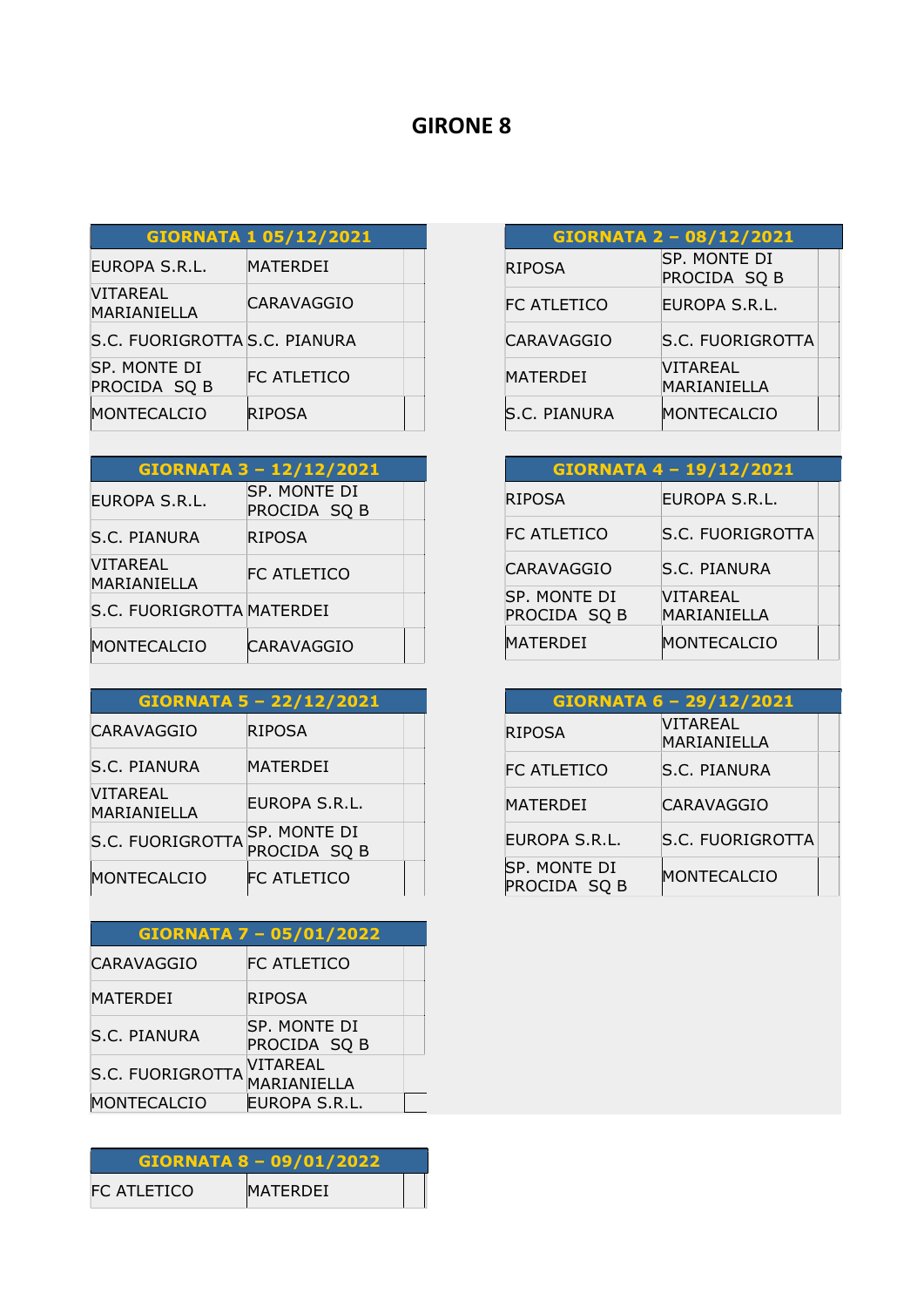#### GIRONE 8

# GIORNATA 1 05/12/2021

| EUROPA S.R.L.                  | MATERDEI           |  |
|--------------------------------|--------------------|--|
| <b>VITAREAL</b><br>MARIANIELLA | CARAVAGGIO         |  |
| S.C. FUORIGROTTA S.C. PIANURA  |                    |  |
| SP. MONTE DI<br>PROCIDA SQ B   | <b>FC ATLETICO</b> |  |
| <b>MONTECALCIO</b>             | <b>RIPOSA</b>      |  |

| GIORNATA 3 - 12/12/2021   |                              |  |
|---------------------------|------------------------------|--|
| EUROPA S.R.L.             | SP. MONTE DI<br>PROCIDA SQ B |  |
| S.C. PIANURA              | RIPOSA                       |  |
| VITAREAL<br>MARIANIELLA   | FC ATLETICO                  |  |
| S.C. FUORIGROTTA MATERDEI |                              |  |
| MONTECALCIO               | <b>CARAVAGGIO</b>            |  |

| GIORNATA 5 - 22/12/2021        |                              |
|--------------------------------|------------------------------|
| CARAVAGGIO                     | <b>RIPOSA</b>                |
| S.C. PIANURA                   | <b>MATERDEI</b>              |
| <b>VITAREAL</b><br>MARIANIELLA | EUROPA S.R.L.                |
| S.C. FUORIGROTTA               | SP. MONTE DI<br>PROCIDA SQ B |
| MONTECALCIO                    | IFC ATLETICO                 |

| GIORNATA 7 - 05/01/2022 |                                |  |
|-------------------------|--------------------------------|--|
| <b>CARAVAGGIO</b>       | FC ATLETICO                    |  |
| MATERDEI                | RIPOSA                         |  |
| S.C. PIANURA            | SP. MONTE DI<br>PROCIDA SQ B   |  |
| <b>S.C. FUORIGROTTA</b> | <b>VITAREAL</b><br>MARIANIELLA |  |
| MONTECALCIO             | EUROPA S.R.L.                  |  |

|             | <b>GIORNATA 8 - 09/01/2022</b> |
|-------------|--------------------------------|
| FC ATLETICO | MATERDEI                       |

| GIORNATA 2 - 08/12/2021 |                              |
|-------------------------|------------------------------|
| <b>RIPOSA</b>           | SP. MONTE DI<br>PROCIDA SQ B |
| <b>FC ATLETICO</b>      | EUROPA S.R.L.                |
| <b>CARAVAGGIO</b>       | S.C. FUORIGROTTA             |
| MATERDEI                | VITAREAL<br>MARIANIELLA      |
| <b>S.C. PIANURA</b>     | <b>MONTECALCIO</b>           |

| GIORNATA 4 - 19/12/2021      |                         |  |
|------------------------------|-------------------------|--|
| <b>RIPOSA</b>                | EUROPA S.R.L.           |  |
| <b>FC ATLETICO</b>           | <b>S.C. FUORIGROTTA</b> |  |
| <b>CARAVAGGIO</b>            | <b>S.C. PIANURA</b>     |  |
| SP. MONTE DI<br>PROCIDA SQ B | VITAREAL<br>MARIANIELLA |  |
| MATERDEI                     | MONTECALCIO             |  |

| <b>GIORNATA 6 - 29/12/2021</b> |                         |  |
|--------------------------------|-------------------------|--|
| <b>RIPOSA</b>                  | VITAREAL<br>MARIANIELLA |  |
| FC ATLETICO                    | S.C. PIANURA            |  |
| <b>MATERDEI</b>                | <b>CARAVAGGIO</b>       |  |
| <b>EUROPA S.R.L.</b>           | <b>S.C. FUORIGROTTA</b> |  |
| SP. MONTE DI<br>PROCIDA SQ B   | MONTECALCIO             |  |